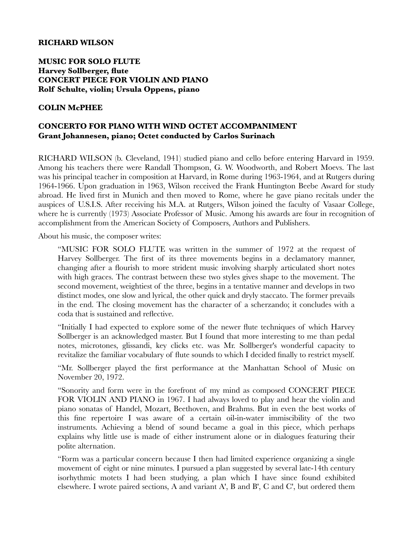## **RICHARD WILSON**

## **MUSIC FOR SOLO FLUTE Harvey Sollberger, flute CONCERT PIECE FOR VIOLIN AND PIANO Rolf Schulte, violin; Ursula Oppens, piano**

## **COLIN McPHEE**

## **CONCERTO FOR PIANO WITH WIND OCTET ACCOMPANIMENT Grant Johannesen, piano; Octet conducted by Carlos Surinach**

RICHARD WILSON (b. Cleveland, 1941) studied piano and cello before entering Harvard in 1959. Among his teachers there were Randall Thompson, G. W. Woodworth, and Robert Moevs. The last was his principal teacher in composition at Harvard, in Rome during 1963-1964, and at Rutgers during 1964-1966. Upon graduation in 1963, Wilson received the Frank Huntington Beebe Award for study abroad. He lived first in Munich and then moved to Rome, where he gave piano recitals under the auspices of U.S.I.S. After receiving his M.A. at Rutgers, Wilson joined the faculty of Vasaar College, where he is currently (1973) Associate Professor of Music. Among his awards are four in recognition of accomplishment from the American Society of Composers, Authors and Publishers.

About his music, the composer writes:

"MUSIC FOR SOLO FLUTE was written in the summer of 1972 at the request of Harvey Sollberger. The first of its three movements begins in a declamatory manner, changing after a flourish to more strident music involving sharply articulated short notes with high graces. The contrast between these two styles gives shape to the movement. The second movement, weightiest of the three, begins in a tentative manner and develops in two distinct modes, one slow and lyrical, the other quick and dryly staccato. The former prevails in the end. The closing movement has the character of a scherzando; it concludes with a coda that is sustained and reflective.

"Initially I had expected to explore some of the newer flute techniques of which Harvey Sollberger is an acknowledged master. But I found that more interesting to me than pedal notes, microtones, glissandi, key clicks etc. was Mr. Sollberger's wonderful capacity to revitalize the familiar vocabulary of flute sounds to which I decided finally to restrict myself.

"Mr. Sollberger played the first performance at the Manhattan School of Music on November 20, 1972.

"Sonority and form were in the forefront of my mind as composed CONCERT PIECE FOR VIOLIN AND PIANO in 1967. I had always loved to play and hear the violin and piano sonatas of Handel, Mozart, Beethoven, and Brahms. But in even the best works of this fine repertoire I was aware of a certain oil-in-water immiscibility of the two instruments. Achieving a blend of sound became a goal in this piece, which perhaps explains why little use is made of either instrument alone or in dialogues featuring their polite alternation.

"Form was a particular concern because I then had limited experience organizing a single movement of eight or nine minutes. I pursued a plan suggested by several late-14th century isorhythmic motets I had been studying, a plan which I have since found exhibited elsewhere. I wrote paired sections, A and variant A', B and B', C and C', but ordered them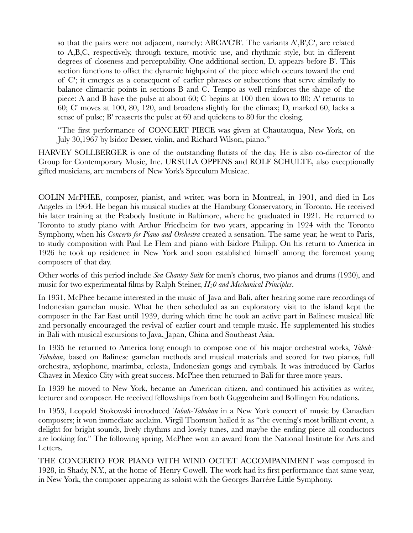so that the pairs were not adjacent, namely: ABCA'C'B'. The variants A',B',C', are related to A,B,C, respectively, through texture, motivic use, and rhythmic style, but in different degrees of closeness and perceptability. One additional section, D, appears before B'. This section functions to offset the dynamic highpoint of the piece which occurs toward the end of C'; it emerges as a consequent of earlier phrases or subsections that serve similarly to balance climactic points in sections B and C. Tempo as well reinforces the shape of the piece: A and B have the pulse at about 60; C begins at 100 then slows to 80; A' returns to 60; C' moves at 100, 80, 120, and broadens slightly for the climax; D, marked 60, lacks a sense of pulse; B' reasserts the pulse at 60 and quickens to 80 for the closing.

"The first performance of CONCERT PIECE was given at Chautauqua, New York, on July 30,1967 by lsidor Desser, violin, and Richard Wilson, piano."

HARVEY SOLLBERGER is one of the outstanding flutists of the day. He is also co-director of the Group for Contemporary Music, Inc. URSULA OPPENS and ROLF SCHULTE, also exceptionally gifted musicians, are members of New York's Speculum Musicae.

COLIN McPHEE, composer, pianist, and writer, was born in Montreal, in 1901, and died in Los Angeles in 1964. He began his musical studies at the Hamburg Conservatory, in Toronto. He received his later training at the Peabody Institute in Baltimore, where he graduated in 1921. He returned to Toronto to study piano with Arthur Friedheim for two years, appearing in 1924 with the Toronto Symphony, when his *Concerto for Piano and Orchestra* created a sensation. The same year, he went to Paris, to study composition with Paul Le Flem and piano with Isidore Philipp. On his return to America in 1926 he took up residence in New York and soon established himself among the foremost young composers of that day.

Other works of this period include *Sea Chantey Suite* for men's chorus, two pianos and drums (1930), and music for two experimental films by Ralph Steiner,  $H_2$ 0 and Mechanical Principles.

In 1931, McPhee became interested in the music of Java and Bali, after hearing some rare recordings of Indonesian gamelan music. What he then scheduled as an exploratory visit to the island kept the composer in the Far East until 1939, during which time he took an active part in Balinese musical life and personally encouraged the revival of earlier court and temple music. He supplemented his studies in Bali with musical excursions to Java, Japan, China and Southeast Asia.

In 1935 he returned to America long enough to compose one of his major orchestral works, *Tabuh-Tabuhan*, based on Balinese gamelan methods and musical materials and scored for two pianos, full orchestra, xylophone, marimba, celesta, Indonesian gongs and cymbals. It was introduced by Carlos Chavez in Mexico City with great success. McPhee then returned to Bali for three more years.

In 1939 he moved to New York, became an American citizen, and continued his activities as writer, lecturer and composer. He received fellowships from both Guggenheim and Bollingen Foundations.

In 1953, Leopold Stokowski introduced *Tabuh-Tabuhan* in a New York concert of music by Canadian composers; it won immediate acclaim. Virgil Thomson hailed it as "the evening's most brilliant event, a delight for bright sounds, lively rhythms and lovely tunes, and maybe the ending piece all conductors are looking for." The following spring, McPhee won an award from the National Institute for Arts and Letters.

THE CONCERTO FOR PIANO WITH WIND OCTET ACCOMPANIMENT was composed in 1928, in Shady, N.Y., at the home of Henry Cowell. The work had its first performance that same year, in New York, the composer appearing as soloist with the Georges Barrére Little Symphony.